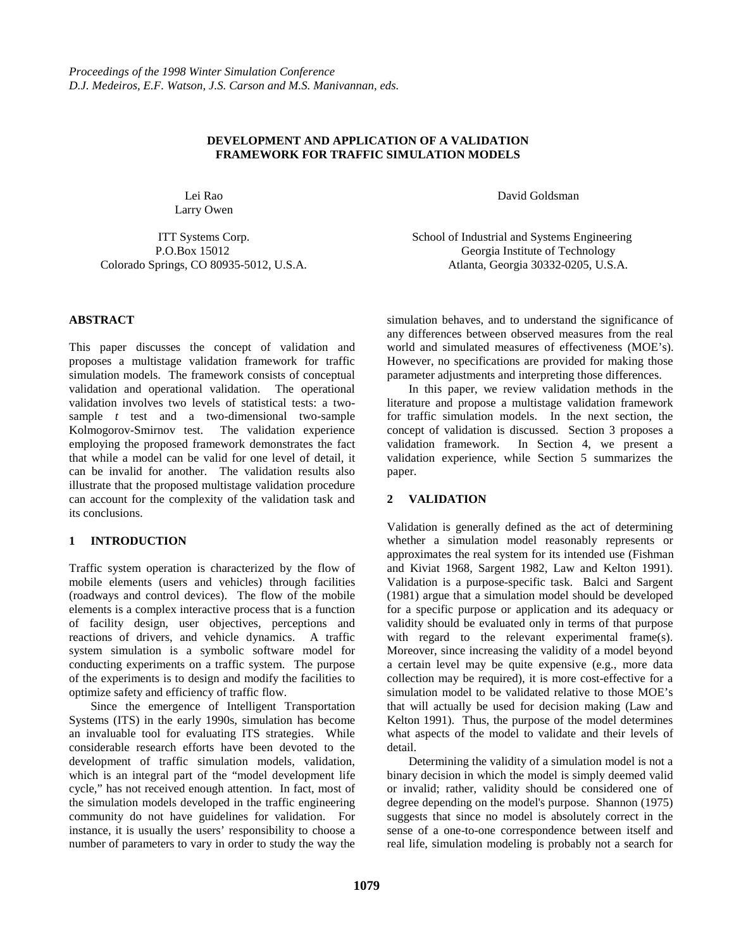### **DEVELOPMENT AND APPLICATION OF A VALIDATION FRAMEWORK FOR TRAFFIC SIMULATION MODELS**

Larry Owen

### **ABSTRACT**

This paper discusses the concept of validation and proposes a multistage validation framework for traffic simulation models. The framework consists of conceptual validation and operational validation. The operational validation involves two levels of statistical tests: a twosample *t* test and a two-dimensional two-sample Kolmogorov-Smirnov test. The validation experience employing the proposed framework demonstrates the fact that while a model can be valid for one level of detail, it can be invalid for another. The validation results also illustrate that the proposed multistage validation procedure can account for the complexity of the validation task and its conclusions.

### **1 INTRODUCTION**

Traffic system operation is characterized by the flow of mobile elements (users and vehicles) through facilities (roadways and control devices). The flow of the mobile elements is a complex interactive process that is a function of facility design, user objectives, perceptions and reactions of drivers, and vehicle dynamics. A traffic system simulation is a symbolic software model for conducting experiments on a traffic system. The purpose of the experiments is to design and modify the facilities to optimize safety and efficiency of traffic flow.

Since the emergence of Intelligent Transportation Systems (ITS) in the early 1990s, simulation has become an invaluable tool for evaluating ITS strategies. While considerable research efforts have been devoted to the development of traffic simulation models, validation, which is an integral part of the "model development life cycle," has not received enough attention. In fact, most of the simulation models developed in the traffic engineering community do not have guidelines for validation. For instance, it is usually the users' responsibility to choose a number of parameters to vary in order to study the way the

Lei Rao David Goldsman

ITT Systems Corp. School of Industrial and Systems Engineering P.O.Box 15012 Georgia Institute of Technology Colorado Springs, CO 80935-5012, U.S.A. Atlanta, Georgia 30332-0205, U.S.A.

> simulation behaves, and to understand the significance of any differences between observed measures from the real world and simulated measures of effectiveness (MOE's). However, no specifications are provided for making those parameter adjustments and interpreting those differences.

> In this paper, we review validation methods in the literature and propose a multistage validation framework for traffic simulation models. In the next section, the concept of validation is discussed. Section 3 proposes a validation framework. In Section 4, we present a validation experience, while Section 5 summarizes the paper.

## **2 VALIDATION**

Validation is generally defined as the act of determining whether a simulation model reasonably represents or approximates the real system for its intended use (Fishman and Kiviat 1968, Sargent 1982, Law and Kelton 1991). Validation is a purpose-specific task. Balci and Sargent (1981) argue that a simulation model should be developed for a specific purpose or application and its adequacy or validity should be evaluated only in terms of that purpose with regard to the relevant experimental frame(s). Moreover, since increasing the validity of a model beyond a certain level may be quite expensive (e.g., more data collection may be required), it is more cost-effective for a simulation model to be validated relative to those MOE's that will actually be used for decision making (Law and Kelton 1991). Thus, the purpose of the model determines what aspects of the model to validate and their levels of detail.

Determining the validity of a simulation model is not a binary decision in which the model is simply deemed valid or invalid; rather, validity should be considered one of degree depending on the model's purpose. Shannon (1975) suggests that since no model is absolutely correct in the sense of a one-to-one correspondence between itself and real life, simulation modeling is probably not a search for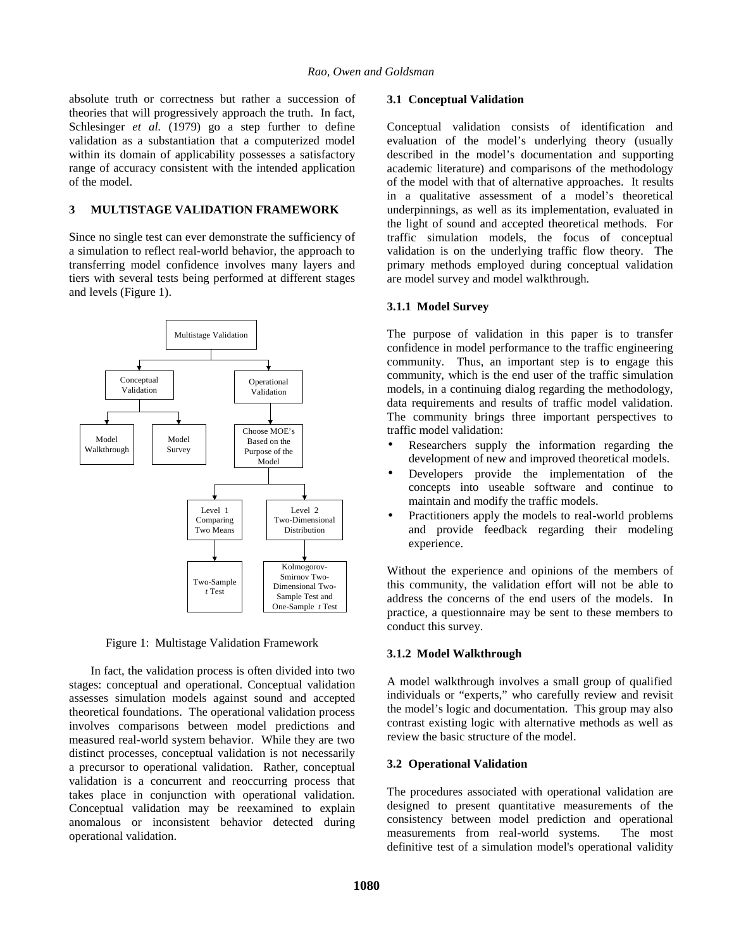absolute truth or correctness but rather a succession of theories that will progressively approach the truth. In fact, Schlesinger *et al.* (1979) go a step further to define validation as a substantiation that a computerized model within its domain of applicability possesses a satisfactory range of accuracy consistent with the intended application of the model.

### **3 MULTISTAGE VALIDATION FRAMEWORK**

Since no single test can ever demonstrate the sufficiency of a simulation to reflect real-world behavior, the approach to transferring model confidence involves many layers and tiers with several tests being performed at different stages and levels (Figure 1).



Figure 1: Multistage Validation Framework

In fact, the validation process is often divided into two stages: conceptual and operational. Conceptual validation assesses simulation models against sound and accepted theoretical foundations. The operational validation process involves comparisons between model predictions and measured real-world system behavior. While they are two distinct processes, conceptual validation is not necessarily a precursor to operational validation. Rather, conceptual validation is a concurrent and reoccurring process that takes place in conjunction with operational validation. Conceptual validation may be reexamined to explain anomalous or inconsistent behavior detected during operational validation.

#### **3.1 Conceptual Validation**

Conceptual validation consists of identification and evaluation of the model's underlying theory (usually described in the model's documentation and supporting academic literature) and comparisons of the methodology of the model with that of alternative approaches. It results in a qualitative assessment of a model's theoretical underpinnings, as well as its implementation, evaluated in the light of sound and accepted theoretical methods. For traffic simulation models, the focus of conceptual validation is on the underlying traffic flow theory. The primary methods employed during conceptual validation are model survey and model walkthrough.

### **3.1.1 Model Survey**

The purpose of validation in this paper is to transfer confidence in model performance to the traffic engineering community. Thus, an important step is to engage this community, which is the end user of the traffic simulation models, in a continuing dialog regarding the methodology, data requirements and results of traffic model validation. The community brings three important perspectives to traffic model validation:

- Researchers supply the information regarding the development of new and improved theoretical models.
- Developers provide the implementation of the concepts into useable software and continue to maintain and modify the traffic models.
- Practitioners apply the models to real-world problems and provide feedback regarding their modeling experience.

Without the experience and opinions of the members of this community, the validation effort will not be able to address the concerns of the end users of the models. In practice, a questionnaire may be sent to these members to conduct this survey.

### **3.1.2 Model Walkthrough**

A model walkthrough involves a small group of qualified individuals or "experts," who carefully review and revisit the model's logic and documentation. This group may also contrast existing logic with alternative methods as well as review the basic structure of the model.

### **3.2 Operational Validation**

The procedures associated with operational validation are designed to present quantitative measurements of the consistency between model prediction and operational measurements from real-world systems. The most definitive test of a simulation model's operational validity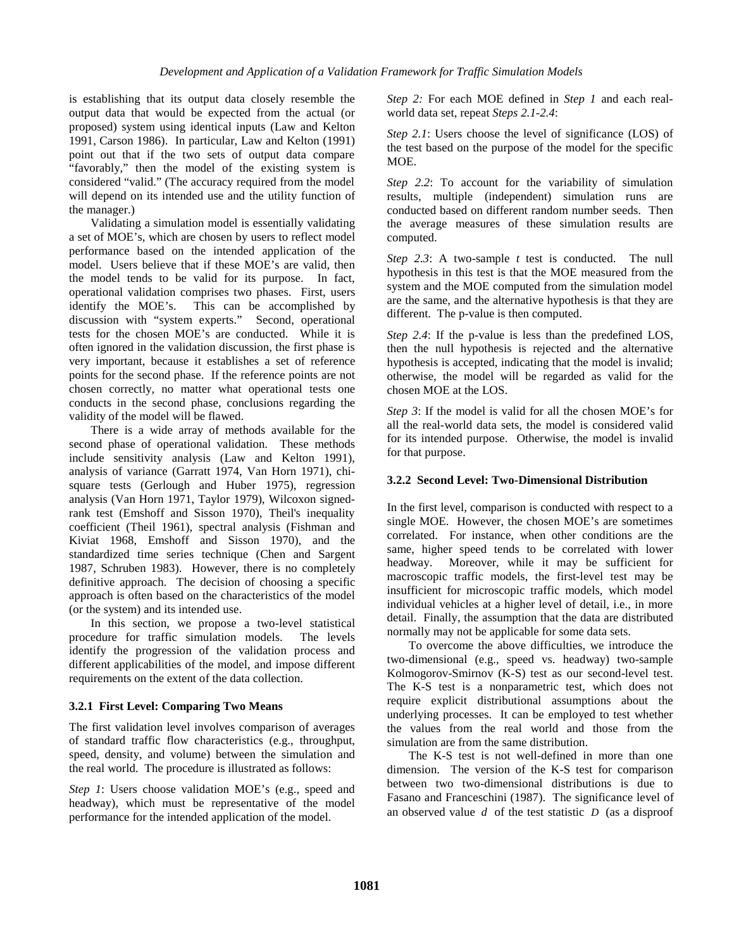is establishing that its output data closely resemble the output data that would be expected from the actual (or proposed) system using identical inputs (Law and Kelton 1991, Carson 1986). In particular, Law and Kelton (1991) point out that if the two sets of output data compare "favorably," then the model of the existing system is considered "valid." (The accuracy required from the model will depend on its intended use and the utility function of the manager.)

Validating a simulation model is essentially validating a set of MOE's, which are chosen by users to reflect model performance based on the intended application of the model. Users believe that if these MOE's are valid, then the model tends to be valid for its purpose. In fact, operational validation comprises two phases. First, users identify the MOE's. This can be accomplished by discussion with "system experts." Second, operational tests for the chosen MOE's are conducted. While it is often ignored in the validation discussion, the first phase is very important, because it establishes a set of reference points for the second phase. If the reference points are not chosen correctly, no matter what operational tests one conducts in the second phase, conclusions regarding the validity of the model will be flawed.

There is a wide array of methods available for the second phase of operational validation. These methods include sensitivity analysis (Law and Kelton 1991), analysis of variance (Garratt 1974, Van Horn 1971), chisquare tests (Gerlough and Huber 1975), regression analysis (Van Horn 1971, Taylor 1979), Wilcoxon signedrank test (Emshoff and Sisson 1970), Theil's inequality coefficient (Theil 1961), spectral analysis (Fishman and Kiviat 1968, Emshoff and Sisson 1970), and the standardized time series technique (Chen and Sargent 1987, Schruben 1983). However, there is no completely definitive approach. The decision of choosing a specific approach is often based on the characteristics of the model (or the system) and its intended use.

In this section, we propose a two-level statistical procedure for traffic simulation models. The levels identify the progression of the validation process and different applicabilities of the model, and impose different requirements on the extent of the data collection.

# **3.2.1 First Level: Comparing Two Means**

The first validation level involves comparison of averages of standard traffic flow characteristics (e.g., throughput, speed, density, and volume) between the simulation and the real world. The procedure is illustrated as follows:

*Step 1*: Users choose validation MOE's (e.g., speed and headway), which must be representative of the model performance for the intended application of the model.

*Step 2:* For each MOE defined in *Step 1* and each realworld data set, repeat *Steps 2.1-2.4*:

*Step 2.1*: Users choose the level of significance (LOS) of the test based on the purpose of the model for the specific MOE.

*Step 2.2*: To account for the variability of simulation results, multiple (independent) simulation runs are conducted based on different random number seeds. Then the average measures of these simulation results are computed.

*Step 2.3*: A two-sample *t* test is conducted. The null hypothesis in this test is that the MOE measured from the system and the MOE computed from the simulation model are the same, and the alternative hypothesis is that they are different. The p-value is then computed.

*Step 2.4*: If the p-value is less than the predefined LOS, then the null hypothesis is rejected and the alternative hypothesis is accepted, indicating that the model is invalid; otherwise, the model will be regarded as valid for the chosen MOE at the LOS.

*Step 3*: If the model is valid for all the chosen MOE's for all the real-world data sets, the model is considered valid for its intended purpose. Otherwise, the model is invalid for that purpose.

# **3.2.2 Second Level: Two-Dimensional Distribution**

In the first level, comparison is conducted with respect to a single MOE. However, the chosen MOE's are sometimes correlated. For instance, when other conditions are the same, higher speed tends to be correlated with lower headway. Moreover, while it may be sufficient for macroscopic traffic models, the first-level test may be insufficient for microscopic traffic models, which model individual vehicles at a higher level of detail, i.e., in more detail. Finally, the assumption that the data are distributed normally may not be applicable for some data sets.

To overcome the above difficulties, we introduce the two-dimensional (e.g., speed vs. headway) two-sample Kolmogorov-Smirnov (K-S) test as our second-level test. The K-S test is a nonparametric test, which does not require explicit distributional assumptions about the underlying processes. It can be employed to test whether the values from the real world and those from the simulation are from the same distribution.

The K-S test is not well-defined in more than one dimension. The version of the K-S test for comparison between two two-dimensional distributions is due to Fasano and Franceschini (1987). The significance level of an observed value *d* of the test statistic *D* (as a disproof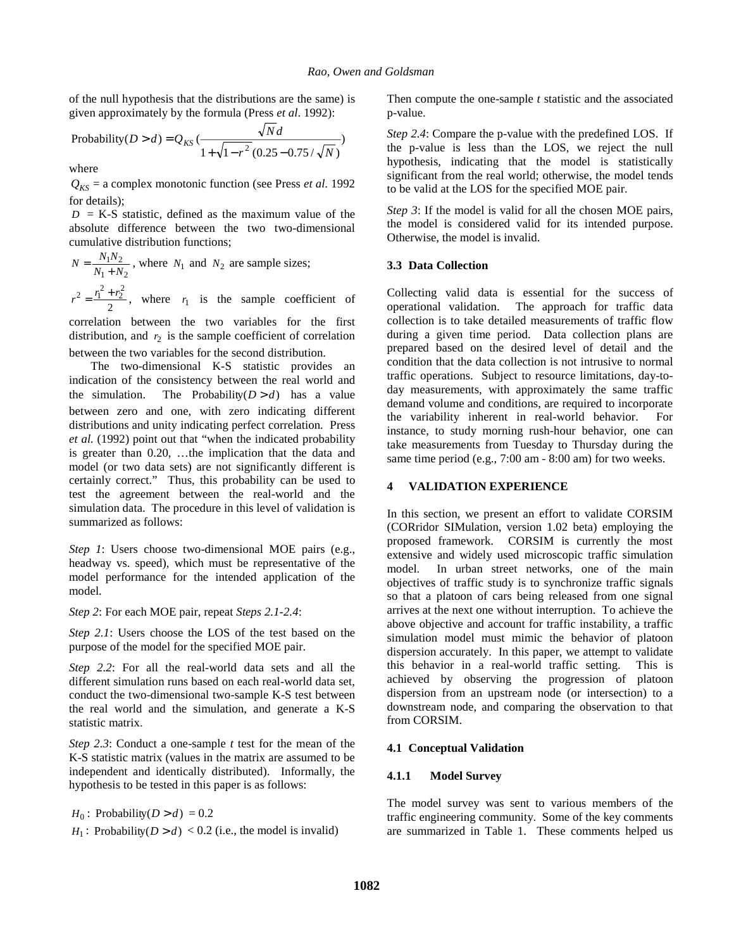of the null hypothesis that the distributions are the same) is given approximately by the formula (Press *et al*. 1992):

Probability(*D* > *d*) = 
$$
Q_{KS}
$$
 ( $\frac{\sqrt{Nd}}{1 + \sqrt{1 - r^2 (0.25 - 0.75/\sqrt{N})}}$ )  
where

 $Q_{KS}$  = a complex monotonic function (see Press *et al.* 1992 for details);

 $D = K-S$  statistic, defined as the maximum value of the absolute difference between the two two-dimensional cumulative distribution functions;

$$
N = \frac{N_1 N_2}{N_1 + N_2}
$$
, where  $N_1$  and  $N_2$  are sample sizes;  

$$
r^2 = \frac{r_1^2 + r_2^2}{2}
$$
, where  $r_1$  is the sample coefficient of

correlation between the two variables for the first distribution, and  $r_2$  is the sample coefficient of correlation between the two variables for the second distribution.

The two-dimensional K-S statistic provides an indication of the consistency between the real world and the simulation. The Probability $(D > d)$  has a value between zero and one, with zero indicating different distributions and unity indicating perfect correlation. Press *et al.* (1992) point out that "when the indicated probability is greater than 0.20, …the implication that the data and model (or two data sets) are not significantly different is certainly correct." Thus, this probability can be used to test the agreement between the real-world and the simulation data. The procedure in this level of validation is summarized as follows:

*Step 1*: Users choose two-dimensional MOE pairs (e.g., headway vs. speed), which must be representative of the model performance for the intended application of the model.

*Step 2*: For each MOE pair, repeat *Steps 2.1-2.4*:

*Step 2.1*: Users choose the LOS of the test based on the purpose of the model for the specified MOE pair.

*Step 2.2*: For all the real-world data sets and all the different simulation runs based on each real-world data set, conduct the two-dimensional two-sample K-S test between the real world and the simulation, and generate a K-S statistic matrix.

*Step 2.3*: Conduct a one-sample *t* test for the mean of the K-S statistic matrix (values in the matrix are assumed to be independent and identically distributed). Informally, the hypothesis to be tested in this paper is as follows:

*H*<sub>0</sub> : Probability( $D > d$ ) = 0.2

*H*<sub>1</sub> : Probability( $D > d$ ) < 0.2 (i.e., the model is invalid)

Then compute the one-sample *t* statistic and the associated p-value.

*Step 2.4*: Compare the p-value with the predefined LOS. If the p-value is less than the LOS, we reject the null hypothesis, indicating that the model is statistically significant from the real world; otherwise, the model tends to be valid at the LOS for the specified MOE pair.

*Step 3*: If the model is valid for all the chosen MOE pairs, the model is considered valid for its intended purpose. Otherwise, the model is invalid.

#### **3.3 Data Collection**

Collecting valid data is essential for the success of operational validation. The approach for traffic data collection is to take detailed measurements of traffic flow during a given time period. Data collection plans are prepared based on the desired level of detail and the condition that the data collection is not intrusive to normal traffic operations. Subject to resource limitations, day-today measurements, with approximately the same traffic demand volume and conditions, are required to incorporate the variability inherent in real-world behavior. For instance, to study morning rush-hour behavior, one can take measurements from Tuesday to Thursday during the same time period (e.g., 7:00 am - 8:00 am) for two weeks.

### **4 VALIDATION EXPERIENCE**

In this section, we present an effort to validate CORSIM (CORridor SIMulation, version 1.02 beta) employing the proposed framework. CORSIM is currently the most extensive and widely used microscopic traffic simulation model. In urban street networks, one of the main objectives of traffic study is to synchronize traffic signals so that a platoon of cars being released from one signal arrives at the next one without interruption. To achieve the above objective and account for traffic instability, a traffic simulation model must mimic the behavior of platoon dispersion accurately. In this paper, we attempt to validate this behavior in a real-world traffic setting. This is achieved by observing the progression of platoon dispersion from an upstream node (or intersection) to a downstream node, and comparing the observation to that from CORSIM.

### **4.1 Conceptual Validation**

### **4.1.1 Model Survey**

The model survey was sent to various members of the traffic engineering community. Some of the key comments are summarized in Table 1. These comments helped us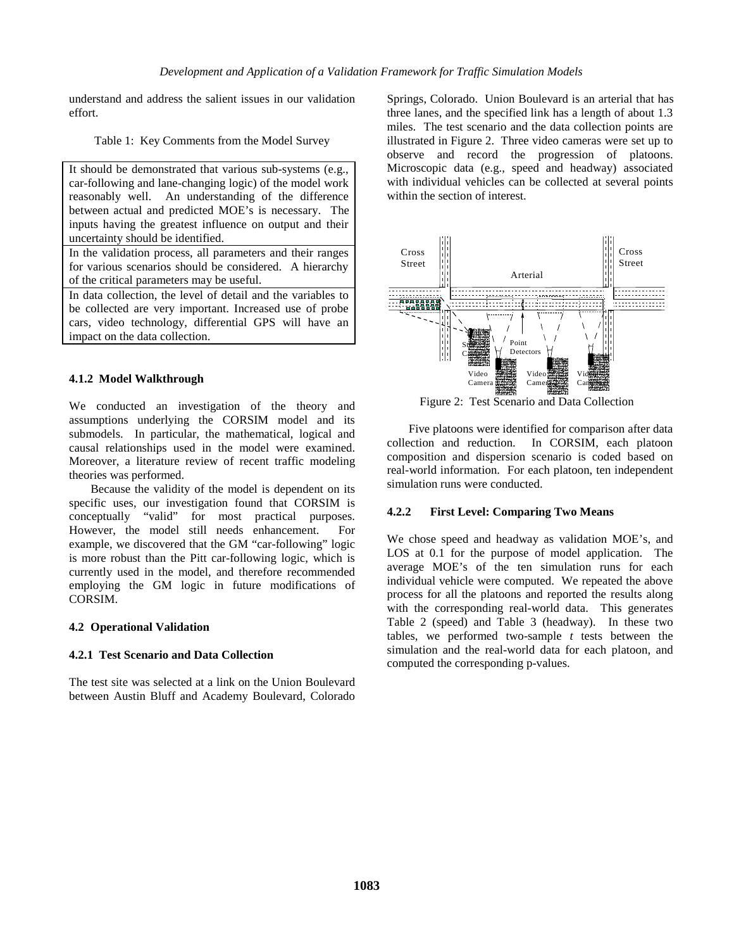understand and address the salient issues in our validation effort.

Table 1: Key Comments from the Model Survey

It should be demonstrated that various sub-systems (e.g., car-following and lane-changing logic) of the model work reasonably well. An understanding of the difference between actual and predicted MOE's is necessary. The inputs having the greatest influence on output and their uncertainty should be identified.

In the validation process, all parameters and their ranges for various scenarios should be considered. A hierarchy of the critical parameters may be useful.

In data collection, the level of detail and the variables to be collected are very important. Increased use of probe cars, video technology, differential GPS will have an impact on the data collection.

# **4.1.2 Model Walkthrough**

We conducted an investigation of the theory and assumptions underlying the CORSIM model and its submodels. In particular, the mathematical, logical and causal relationships used in the model were examined. Moreover, a literature review of recent traffic modeling theories was performed.

Because the validity of the model is dependent on its specific uses, our investigation found that CORSIM is conceptually "valid" for most practical purposes. However, the model still needs enhancement. For example, we discovered that the GM "car-following" logic is more robust than the Pitt car-following logic, which is currently used in the model, and therefore recommended employing the GM logic in future modifications of CORSIM.

## **4.2 Operational Validation**

## **4.2.1 Test Scenario and Data Collection**

The test site was selected at a link on the Union Boulevard between Austin Bluff and Academy Boulevard, Colorado Springs, Colorado. Union Boulevard is an arterial that has three lanes, and the specified link has a length of about 1.3 miles. The test scenario and the data collection points are illustrated in Figure 2. Three video cameras were set up to observe and record the progression of platoons. Microscopic data (e.g., speed and headway) associated with individual vehicles can be collected at several points within the section of interest.



Figure 2: Test Scenario and Data Collection

Five platoons were identified for comparison after data collection and reduction. In CORSIM, each platoon composition and dispersion scenario is coded based on real-world information. For each platoon, ten independent simulation runs were conducted.

## **4.2.2 First Level: Comparing Two Means**

We chose speed and headway as validation MOE's, and LOS at 0.1 for the purpose of model application. The average MOE's of the ten simulation runs for each individual vehicle were computed. We repeated the above process for all the platoons and reported the results along with the corresponding real-world data. This generates Table 2 (speed) and Table 3 (headway). In these two tables, we performed two-sample *t* tests between the simulation and the real-world data for each platoon, and computed the corresponding p-values.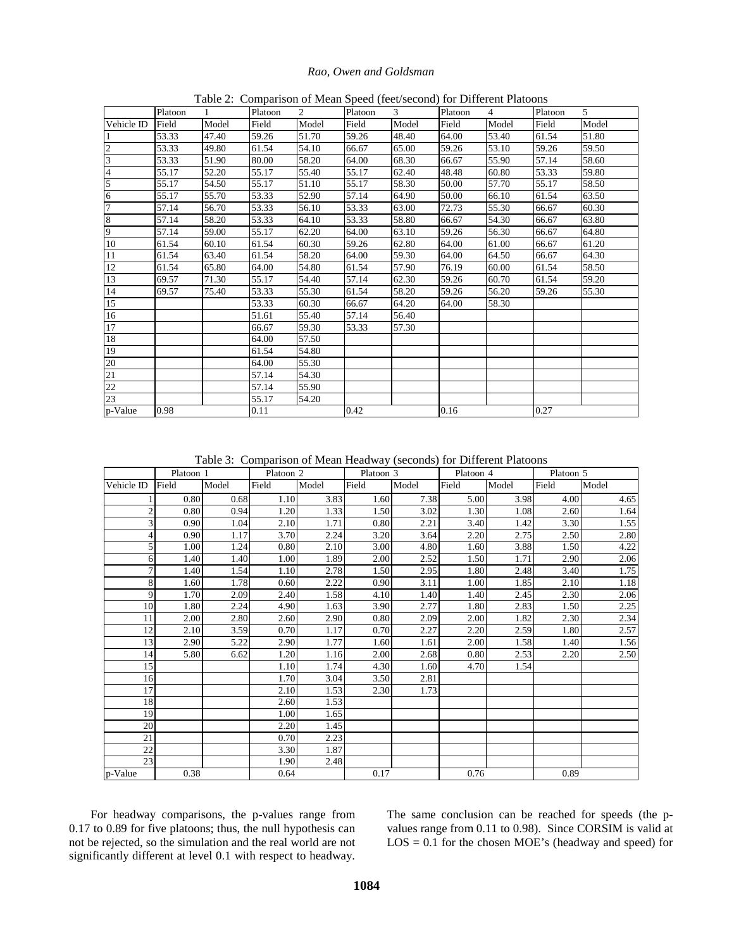#### *Rao, Owen and Goldsman*

|                         | Platoon | $1 - 1$ | Platoon | $\overline{2}$ and $\overline{2}$ | Platoon | $3 \left( \frac{1}{2} \right)$ | Platoon | $\overline{4}$ | Platoon | $\mathfrak{F}$ |
|-------------------------|---------|---------|---------|-----------------------------------|---------|--------------------------------|---------|----------------|---------|----------------|
| Vehicle ID              | Field   | Model   | Field   | Model                             | Field   | Model                          | Field   | Model          | Field   | Model          |
|                         | 53.33   | 47.40   | 59.26   | 51.70                             | 59.26   | 48.40                          | 64.00   | 53.40          | 61.54   | 51.80          |
| $\overline{2}$          | 53.33   | 49.80   | 61.54   | 54.10                             | 66.67   | 65.00                          | 59.26   | 53.10          | 59.26   | 59.50          |
| $\overline{\mathbf{3}}$ | 53.33   | 51.90   | 80.00   | 58.20                             | 64.00   | 68.30                          | 66.67   | 55.90          | 57.14   | 58.60          |
| $\overline{4}$          | 55.17   | 52.20   | 55.17   | 55.40                             | 55.17   | 62.40                          | 48.48   | 60.80          | 53.33   | 59.80          |
| $\overline{5}$          | 55.17   | 54.50   | 55.17   | 51.10                             | 55.17   | 58.30                          | 50.00   | 57.70          | 55.17   | 58.50          |
| $\overline{6}$          | 55.17   | 55.70   | 53.33   | 52.90                             | 57.14   | 64.90                          | 50.00   | 66.10          | 61.54   | 63.50          |
| $\overline{7}$          | 57.14   | 56.70   | 53.33   | 56.10                             | 53.33   | 63.00                          | 72.73   | 55.30          | 66.67   | 60.30          |
| $\overline{8}$          | 57.14   | 58.20   | 53.33   | 64.10                             | 53.33   | 58.80                          | 66.67   | 54.30          | 66.67   | 63.80          |
| $\overline{9}$          | 57.14   | 59.00   | 55.17   | 62.20                             | 64.00   | 63.10                          | 59.26   | 56.30          | 66.67   | 64.80          |
| 10                      | 61.54   | 60.10   | 61.54   | 60.30                             | 59.26   | 62.80                          | 64.00   | 61.00          | 66.67   | 61.20          |
| 11                      | 61.54   | 63.40   | 61.54   | 58.20                             | 64.00   | 59.30                          | 64.00   | 64.50          | 66.67   | 64.30          |
| 12                      | 61.54   | 65.80   | 64.00   | 54.80                             | 61.54   | 57.90                          | 76.19   | 60.00          | 61.54   | 58.50          |
| 13                      | 69.57   | 71.30   | 55.17   | 54.40                             | 57.14   | 62.30                          | 59.26   | 60.70          | 61.54   | 59.20          |
| 14                      | 69.57   | 75.40   | 53.33   | 55.30                             | 61.54   | 58.20                          | 59.26   | 56.20          | 59.26   | 55.30          |
| 15                      |         |         | 53.33   | 60.30                             | 66.67   | 64.20                          | 64.00   | 58.30          |         |                |
| 16                      |         |         | 51.61   | 55.40                             | 57.14   | 56.40                          |         |                |         |                |
| 17                      |         |         | 66.67   | 59.30                             | 53.33   | 57.30                          |         |                |         |                |
| 18                      |         |         | 64.00   | 57.50                             |         |                                |         |                |         |                |
| 19                      |         |         | 61.54   | 54.80                             |         |                                |         |                |         |                |
| 20                      |         |         | 64.00   | 55.30                             |         |                                |         |                |         |                |
|                         |         |         | 57.14   | 54.30                             |         |                                |         |                |         |                |
| $\frac{21}{22}$         |         |         | 57.14   | 55.90                             |         |                                |         |                |         |                |
| 23                      |         |         | 55.17   | 54.20                             |         |                                |         |                |         |                |
| p-Value                 | 0.98    |         | 0.11    |                                   | 0.42    |                                | 0.16    |                | 0.27    |                |

Table 2: Comparison of Mean Speed (feet/second) for Different Platoons

Table 3: Comparison of Mean Headway (seconds) for Different Platoons

|                | Platoon 1 |       | Platoon <sub>2</sub> |       | Platoon 3 |       | Platoon 4 |       | Platoon 5 |       |
|----------------|-----------|-------|----------------------|-------|-----------|-------|-----------|-------|-----------|-------|
| Vehicle ID     | Field     | Model | Field                | Model | Field     | Model | Field     | Model | Field     | Model |
|                | 0.80      | 0.68  | 1.10                 | 3.83  | 1.60      | 7.38  | 5.00      | 3.98  | 4.00      | 4.65  |
| 2              | 0.80      | 0.94  | 1.20                 | 1.33  | 1.50      | 3.02  | 1.30      | 1.08  | 2.60      | 1.64  |
| 3              | 0.90      | 1.04  | 2.10                 | 1.71  | 0.80      | 2.21  | 3.40      | 1.42  | 3.30      | 1.55  |
| 4              | 0.90      | 1.17  | 3.70                 | 2.24  | 3.20      | 3.64  | 2.20      | 2.75  | 2.50      | 2.80  |
| 5              | 1.00      | 1.24  | 0.80                 | 2.10  | 3.00      | 4.80  | 1.60      | 3.88  | 1.50      | 4.22  |
| 6              | 1.40      | 1.40  | 1.00                 | 1.89  | 2.00      | 2.52  | 1.50      | 1.71  | 2.90      | 2.06  |
| $\overline{7}$ | 1.40      | 1.54  | 1.10                 | 2.78  | 1.50      | 2.95  | 1.80      | 2.48  | 3.40      | 1.75  |
| 8              | 1.60      | 1.78  | 0.60                 | 2.22  | 0.90      | 3.11  | 1.00      | 1.85  | 2.10      | 1.18  |
| 9              | 1.70      | 2.09  | 2.40                 | 1.58  | 4.10      | 1.40  | 1.40      | 2.45  | 2.30      | 2.06  |
| 10             | 1.80      | 2.24  | 4.90                 | 1.63  | 3.90      | 2.77  | 1.80      | 2.83  | 1.50      | 2.25  |
| 11             | 2.00      | 2.80  | 2.60                 | 2.90  | 0.80      | 2.09  | 2.00      | 1.82  | 2.30      | 2.34  |
| 12             | 2.10      | 3.59  | 0.70                 | 1.17  | 0.70      | 2.27  | 2.20      | 2.59  | 1.80      | 2.57  |
| 13             | 2.90      | 5.22  | 2.90                 | 1.77  | 1.60      | 1.61  | 2.00      | 1.58  | 1.40      | 1.56  |
| 14             | 5.80      | 6.62  | 1.20                 | 1.16  | 2.00      | 2.68  | 0.80      | 2.53  | 2.20      | 2.50  |
| 15             |           |       | 1.10                 | 1.74  | 4.30      | 1.60  | 4.70      | 1.54  |           |       |
| 16             |           |       | 1.70                 | 3.04  | 3.50      | 2.81  |           |       |           |       |
| 17             |           |       | 2.10                 | 1.53  | 2.30      | 1.73  |           |       |           |       |
| 18             |           |       | 2.60                 | 1.53  |           |       |           |       |           |       |
| 19             |           |       | 1.00                 | 1.65  |           |       |           |       |           |       |
| 20             |           |       | 2.20                 | 1.45  |           |       |           |       |           |       |
| 21             |           |       | 0.70                 | 2.23  |           |       |           |       |           |       |
| 22             |           |       | 3.30                 | 1.87  |           |       |           |       |           |       |
| 23             |           |       | 1.90                 | 2.48  |           |       |           |       |           |       |
| p-Value        | 0.38      |       | 0.64                 |       | 0.17      |       | 0.76      |       | 0.89      |       |

For headway comparisons, the p-values range from 0.17 to 0.89 for five platoons; thus, the null hypothesis can not be rejected, so the simulation and the real world are not significantly different at level 0.1 with respect to headway.

The same conclusion can be reached for speeds (the pvalues range from 0.11 to 0.98). Since CORSIM is valid at  $LOS = 0.1$  for the chosen MOE's (headway and speed) for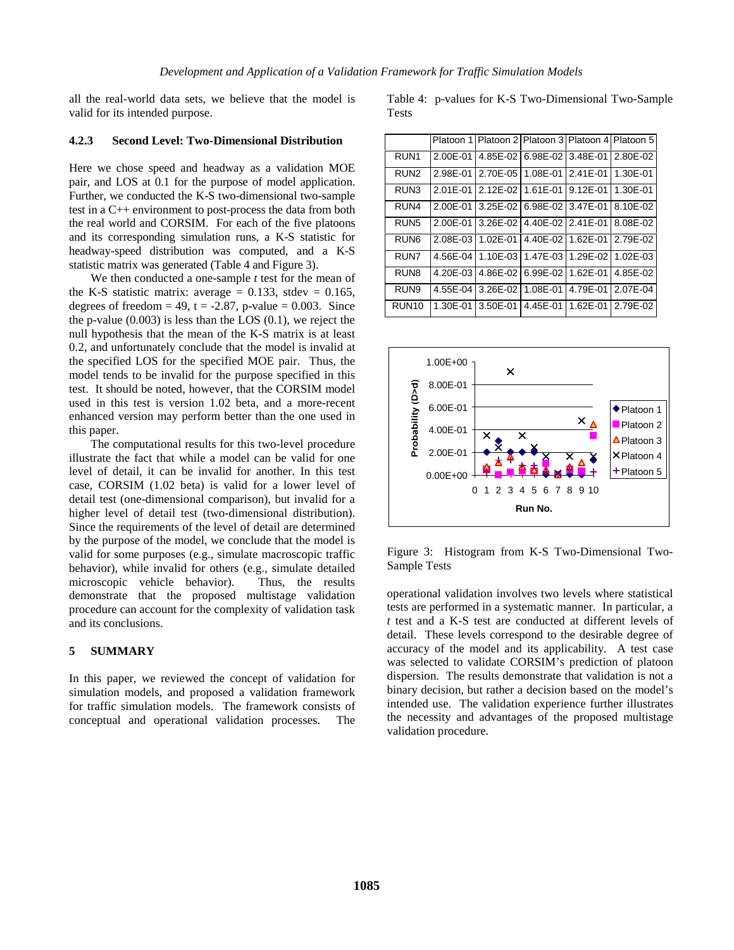all the real-world data sets, we believe that the model is valid for its intended purpose.

### **4.2.3 Second Level: Two-Dimensional Distribution**

Here we chose speed and headway as a validation MOE pair, and LOS at 0.1 for the purpose of model application. Further, we conducted the K-S two-dimensional two-sample test in a C++ environment to post-process the data from both the real world and CORSIM. For each of the five platoons and its corresponding simulation runs, a K-S statistic for headway-speed distribution was computed, and a K-S statistic matrix was generated (Table 4 and Figure 3).

We then conducted a one-sample *t* test for the mean of the K-S statistic matrix: average =  $0.133$ , stdev =  $0.165$ , degrees of freedom = 49, t = -2.87, p-value = 0.003. Since the p-value  $(0.003)$  is less than the LOS  $(0.1)$ , we reject the null hypothesis that the mean of the K-S matrix is at least 0.2, and unfortunately conclude that the model is invalid at the specified LOS for the specified MOE pair. Thus, the model tends to be invalid for the purpose specified in this test. It should be noted, however, that the CORSIM model used in this test is version 1.02 beta, and a more-recent enhanced version may perform better than the one used in this paper.

The computational results for this two-level procedure illustrate the fact that while a model can be valid for one level of detail, it can be invalid for another. In this test case, CORSIM (1.02 beta) is valid for a lower level of detail test (one-dimensional comparison), but invalid for a higher level of detail test (two-dimensional distribution). Since the requirements of the level of detail are determined by the purpose of the model, we conclude that the model is valid for some purposes (e.g., simulate macroscopic traffic behavior), while invalid for others (e.g., simulate detailed microscopic vehicle behavior). Thus, the results demonstrate that the proposed multistage validation procedure can account for the complexity of validation task and its conclusions.

### **5 SUMMARY**

In this paper, we reviewed the concept of validation for simulation models, and proposed a validation framework for traffic simulation models. The framework consists of conceptual and operational validation processes. The

Table 4: p-values for K-S Two-Dimensional Two-Sample **Tests** 

|                   | Platoon 1    | Platoon 2 Platoon 3 Platoon 4 Platoon 5 |                     |              |          |
|-------------------|--------------|-----------------------------------------|---------------------|--------------|----------|
| RUN <sub>1</sub>  | 2.00E-01     | 4.85E-02                                | 6.98E-02            | 3.48E-01     | 2.80E-02 |
| RUN <sub>2</sub>  | 2.98E-01     | 2.70E-05                                | 1.08E-01            | $2.41E - 01$ | 1.30E-01 |
| RUN <sub>3</sub>  | $2.01E - 01$ | 2.12E-02 1.61E-01                       |                     | 9.12E-01     | 1.30E-01 |
| RUN4              | 2.00E-01     | $3.25E - 02$                            | 6.98E-02            | 3.47E-01     | 8.10E-02 |
| RUN <sub>5</sub>  | 2.00E-01     | $3.26E - 02$                            | 4.40E-02            | 2.41E-01     | 8.08E-02 |
| RUN <sub>6</sub>  | 2.08E-03     | 1.02E-01                                | 4.40E-02            | 1.62E-01     | 2.79E-02 |
| RUN7              | 4.56E-04     |                                         | 1.10E-03   1.47E-03 | 1.29E-02     | 1.02E-03 |
| RUN <sub>8</sub>  | 4.20E-03     |                                         | 4.86E-02 6.99E-02   | 1.62E-01     | 4.85E-02 |
| RUN <sub>9</sub>  | 4.55E-04     | 3.26E-02                                | 1.08E-01            | 4.79E-01     | 2.07E-04 |
| RUN <sub>10</sub> | 1.30E-01     | 3.50E-01                                | 4.45E-01            | 1.62E-01     | 2.79E-02 |



Figure 3: Histogram from K-S Two-Dimensional Two-Sample Tests

operational validation involves two levels where statistical tests are performed in a systematic manner. In particular, a *t* test and a K-S test are conducted at different levels of detail. These levels correspond to the desirable degree of accuracy of the model and its applicability. A test case was selected to validate CORSIM's prediction of platoon dispersion. The results demonstrate that validation is not a binary decision, but rather a decision based on the model's intended use. The validation experience further illustrates the necessity and advantages of the proposed multistage validation procedure.